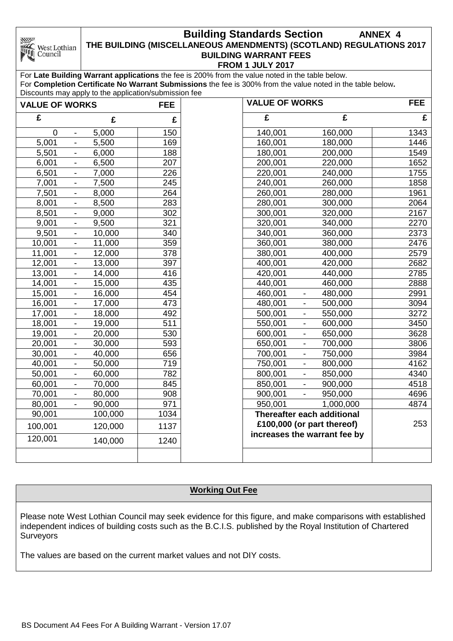#### **Building Standards Section ANNEX 4 THE BUILDING (MISCELLANEOUS AMENDMENTS) (SCOTLAND) REGULATIONS 2017** West Lothian **BUILDING WARRANT FEES FROM 1 JULY 2017**

For **Late Building Warrant applications** the fee is 200% from the value noted in the table below. For **Completion Certificate No Warrant Submissions** the fee is 300% from the value noted in the table below**.** Discounts may apply to the application/submission fee

**NIV** 

Council

| <b>VALUE OF WORKS</b> |                          |         | <b>FEE</b> | <b>VALUE OF WORKS</b>                                      |                          |           | <b>FEE</b> |
|-----------------------|--------------------------|---------|------------|------------------------------------------------------------|--------------------------|-----------|------------|
| £                     |                          | £       | £          | £                                                          |                          | £         | £          |
| $\mathbf 0$           | $\overline{\phantom{a}}$ | 5,000   | 150        | 140,001                                                    |                          | 160,000   | 1343       |
| 5,001                 |                          | 5,500   | 169        | 160,001                                                    |                          | 180,000   | 1446       |
| 5,501                 | $\overline{\phantom{a}}$ | 6,000   | 188        | 180,001                                                    |                          | 200,000   | 1549       |
| 6,001                 | $\overline{\phantom{a}}$ | 6,500   | 207        | 200,001                                                    |                          | 220,000   | 1652       |
| 6,501                 | $\blacksquare$           | 7,000   | 226        | 220,001                                                    |                          | 240,000   | 1755       |
| 7,001                 | $\overline{\phantom{a}}$ | 7,500   | 245        | 240,001                                                    |                          | 260,000   | 1858       |
| 7,501                 | $\overline{\phantom{a}}$ | 8,000   | 264        | 260,001                                                    |                          | 280,000   | 1961       |
| 8,001                 | $\blacksquare$           | 8,500   | 283        | 280,001                                                    |                          | 300,000   | 2064       |
| 8,501                 | $\blacksquare$           | 9,000   | 302        | 300,001                                                    |                          | 320,000   | 2167       |
| 9,001                 | $\blacksquare$           | 9,500   | 321        | 320,001                                                    |                          | 340,000   | 2270       |
| 9,501                 | $\blacksquare$           | 10,000  | 340        | 340,001                                                    |                          | 360,000   | 2373       |
| 10,001                | $\blacksquare$           | 11,000  | 359        | 360,001                                                    |                          | 380,000   | 2476       |
| 11,001                | $\overline{\phantom{a}}$ | 12,000  | 378        | 380,001                                                    |                          | 400,000   | 2579       |
| 12,001                | $\overline{\phantom{a}}$ | 13,000  | 397        | 400,001                                                    |                          | 420,000   | 2682       |
| 13,001                | $\overline{\phantom{a}}$ | 14,000  | 416        | 420,001                                                    |                          | 440,000   | 2785       |
| 14,001                | $\overline{\phantom{a}}$ | 15,000  | 435        | 440,001                                                    |                          | 460,000   | 2888       |
| 15,001                | $\overline{\phantom{a}}$ | 16,000  | 454        | 460,001                                                    | ۰                        | 480,000   | 2991       |
| 16,001                | $\overline{\phantom{a}}$ | 17,000  | 473        | 480,001                                                    | $\overline{\phantom{a}}$ | 500,000   | 3094       |
| 17,001                | $\blacksquare$           | 18,000  | 492        | 500,001                                                    | $\blacksquare$           | 550,000   | 3272       |
| 18,001                | $\blacksquare$           | 19,000  | 511        | 550,001                                                    | $\overline{\phantom{a}}$ | 600,000   | 3450       |
| 19,001                | $\overline{\phantom{a}}$ | 20,000  | 530        | 600,001                                                    | $\overline{\phantom{a}}$ | 650,000   | 3628       |
| 20,001                | $\blacksquare$           | 30,000  | 593        | 650,001                                                    | $\blacksquare$           | 700,000   | 3806       |
| 30,001                | $\blacksquare$           | 40,000  | 656        | 700,001                                                    | $\blacksquare$           | 750,000   | 3984       |
| 40,001                | $\blacksquare$           | 50,000  | 719        | 750,001                                                    | $\blacksquare$           | 800,000   | 4162       |
| 50,001                | $\blacksquare$           | 60,000  | 782        | 800,001                                                    |                          | 850,000   | 4340       |
| 60,001                | $\blacksquare$           | 70,000  | 845        | 850,001                                                    |                          | 900,000   | 4518       |
| 70,001                | $\blacksquare$           | 80,000  | 908        | 900,001                                                    |                          | 950,000   | 4696       |
| 80,001                | $\blacksquare$           | 90,000  | 971        | 950,001                                                    |                          | 1,000,000 | 4874       |
| 90,001                |                          | 100,000 | 1034       | Thereafter each additional                                 |                          |           |            |
| 100,001               |                          | 120,000 | 1137       | £100,000 (or part thereof)<br>increases the warrant fee by |                          | 253       |            |
| 120,001               |                          | 140,000 | 1240       |                                                            |                          |           |            |
|                       |                          |         |            |                                                            |                          |           |            |

## **Working Out Fee**

Please note West Lothian Council may seek evidence for this figure, and make comparisons with established independent indices of building costs such as the B.C.I.S. published by the Royal Institution of Chartered **Surveyors** 

The values are based on the current market values and not DIY costs.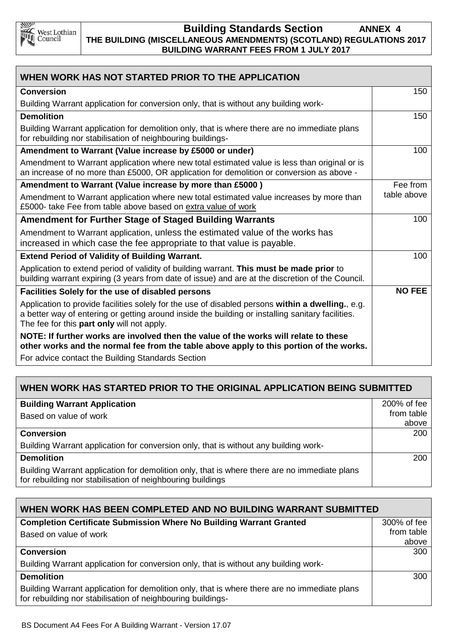

### **Building Standards Section ANNEX 4 THE BUILDING (MISCELLANEOUS AMENDMENTS) (SCOTLAND) REGULATIONS 2017 BUILDING WARRANT FEES FROM 1 JULY 2017**

| WHEN WORK HAS NOT STARTED PRIOR TO THE APPLICATION                                                                                                                                                                                                   |               |  |  |
|------------------------------------------------------------------------------------------------------------------------------------------------------------------------------------------------------------------------------------------------------|---------------|--|--|
| <b>Conversion</b>                                                                                                                                                                                                                                    | 150           |  |  |
| Building Warrant application for conversion only, that is without any building work-                                                                                                                                                                 |               |  |  |
| <b>Demolition</b>                                                                                                                                                                                                                                    | 150           |  |  |
| Building Warrant application for demolition only, that is where there are no immediate plans<br>for rebuilding nor stabilisation of neighbouring buildings-                                                                                          |               |  |  |
| Amendment to Warrant (Value increase by £5000 or under)                                                                                                                                                                                              | 100           |  |  |
| Amendment to Warrant application where new total estimated value is less than original or is<br>an increase of no more than £5000, OR application for demolition or conversion as above -                                                            |               |  |  |
| Amendment to Warrant (Value increase by more than £5000)                                                                                                                                                                                             | Fee from      |  |  |
| Amendment to Warrant application where new total estimated value increases by more than<br>£5000- take Fee from table above based on extra value of work                                                                                             | table above   |  |  |
| <b>Amendment for Further Stage of Staged Building Warrants</b>                                                                                                                                                                                       | 100           |  |  |
| Amendment to Warrant application, unless the estimated value of the works has<br>increased in which case the fee appropriate to that value is payable.                                                                                               |               |  |  |
| <b>Extend Period of Validity of Building Warrant.</b>                                                                                                                                                                                                | 100           |  |  |
| Application to extend period of validity of building warrant. This must be made prior to<br>building warrant expiring (3 years from date of issue) and are at the discretion of the Council.                                                         |               |  |  |
| Facilities Solely for the use of disabled persons                                                                                                                                                                                                    | <b>NO FEE</b> |  |  |
| Application to provide facilities solely for the use of disabled persons within a dwelling., e.g.<br>a better way of entering or getting around inside the building or installing sanitary facilities.<br>The fee for this part only will not apply. |               |  |  |
| NOTE: If further works are involved then the value of the works will relate to these<br>other works and the normal fee from the table above apply to this portion of the works.<br>For advice contact the Building Standards Section                 |               |  |  |

# **WHEN WORK HAS STARTED PRIOR TO THE ORIGINAL APPLICATION BEING SUBMITTED**

| <b>Building Warrant Application</b>                                                                                                                        | 200% of fee |  |  |
|------------------------------------------------------------------------------------------------------------------------------------------------------------|-------------|--|--|
| Based on value of work                                                                                                                                     |             |  |  |
|                                                                                                                                                            | above       |  |  |
| <b>Conversion</b>                                                                                                                                          |             |  |  |
| Building Warrant application for conversion only, that is without any building work-                                                                       |             |  |  |
| <b>Demolition</b>                                                                                                                                          | 200         |  |  |
| Building Warrant application for demolition only, that is where there are no immediate plans<br>for rebuilding nor stabilisation of neighbouring buildings |             |  |  |

| WHEN WORK HAS BEEN COMPLETED AND NO BUILDING WARRANT SUBMITTED                                                                                              |                           |  |  |  |
|-------------------------------------------------------------------------------------------------------------------------------------------------------------|---------------------------|--|--|--|
| <b>Completion Certificate Submission Where No Building Warrant Granted</b>                                                                                  | 300% of fee<br>from table |  |  |  |
| Based on value of work                                                                                                                                      |                           |  |  |  |
|                                                                                                                                                             | above                     |  |  |  |
| <b>Conversion</b>                                                                                                                                           | 300                       |  |  |  |
| Building Warrant application for conversion only, that is without any building work-                                                                        |                           |  |  |  |
| <b>Demolition</b>                                                                                                                                           | 300                       |  |  |  |
| Building Warrant application for demolition only, that is where there are no immediate plans<br>for rebuilding nor stabilisation of neighbouring buildings- |                           |  |  |  |